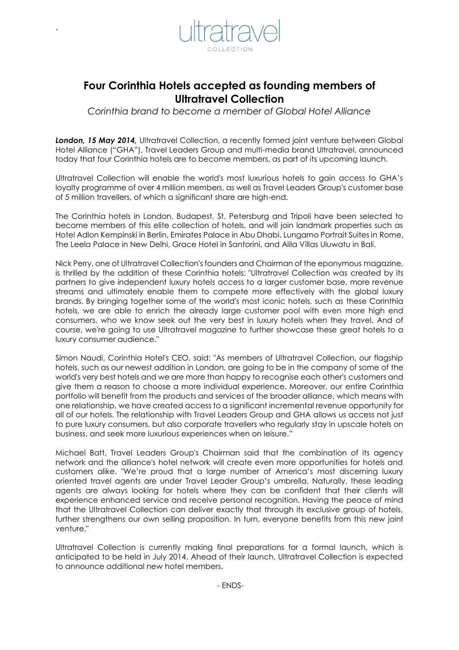

`

# **Four Corinthia Hotels accepted as founding members of Ultratravel Collection**

*Corinthia brand to become a member of Global Hotel Alliance* 

**London, 15 May 2014,** Ultratravel Collection, a recently formed joint venture between Global Hotel Alliance ("GHA"), Travel Leaders Group and multi-media brand Ultratravel, announced today that four Corinthia hotels are to become members, as part of its upcoming launch.

Ultratravel Collection will enable the world's most luxurious hotels to gain access to GHA's loyalty programme of over 4 million members, as well as Travel Leaders Group's customer base of 5 million travellers, of which a significant share are high-end.

The Corinthia hotels in London, Budapest, St. Petersburg and Tripoli have been selected to become members of this elite collection of hotels, and will join landmark properties such as Hotel Adlon Kempinski in Berlin, Emirates Palace in Abu Dhabi, Lungarno Portrait Suites in Rome, The Leela Palace in New Delhi, Grace Hotel in Santorini, and Alila Villas Uluwatu in Bali.

Nick Perry, one of Ultratravel Collection's founders and Chairman of the eponymous magazine, is thrilled by the addition of these Corinthia hotels: "Ultratravel Collection was created by its partners to give independent luxury hotels access to a larger customer base, more revenue streams and ultimately enable them to compete more effectively with the global luxury brands. By bringing together some of the world's most iconic hotels, such as these Corinthia hotels, we are able to enrich the already large customer pool with even more high end consumers, who we know seek out the very best in luxury hotels when they travel. And of course, we're going to use Ultratravel magazine to further showcase these great hotels to a luxury consumer audience."

Simon Naudi, Corinthia Hotel's CEO, said: "As members of Ultratravel Collection, our flagship hotels, such as our newest addition in London, are going to be in the company of some of the world's very best hotels and we are more than happy to recognise each other's customers and give them a reason to choose a more individual experience. Moreover, our entire Corinthia portfolio will benefit from the products and services of the broader alliance, which means with one relationship, we have created access to a significant incremental revenue opportunity for all of our hotels. The relationship with Travel Leaders Group and GHA allows us access not just to pure luxury consumers, but also corporate travellers who regularly stay in upscale hotels on business, and seek more luxurious experiences when on leisure."

Michael Batt, Travel Leaders Group's Chairman said that the combination of its agency network and the alliance's hotel network will create even more opportunities for hotels and customers alike. "We're proud that a large number of America's most discerning luxury oriented travel agents are under Travel Leader Group's umbrella. Naturally, these leading agents are always looking for hotels where they can be confident that their clients will experience enhanced service and receive personal recognition. Having the peace of mind that the Ultratravel Collection can deliver exactly that through its exclusive group of hotels, further strengthens our own selling proposition. In turn, everyone benefits from this new joint venture."

Ultratravel Collection is currently making final preparations for a formal launch, which is anticipated to be held in July 2014. Ahead of their launch, Ultratravel Collection is expected to announce additional new hotel members.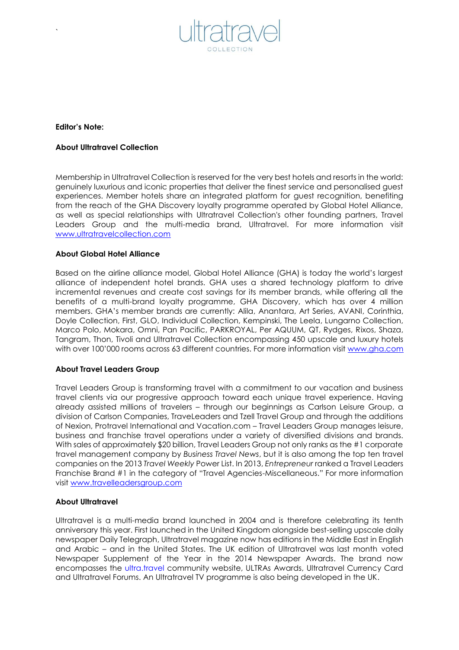

## **Editor's Note:**

`

## **About Ultratravel Collection**

Membership in Ultratravel Collection is reserved for the very best hotels and resorts in the world: genuinely luxurious and iconic properties that deliver the finest service and personalised guest experiences. Member hotels share an integrated platform for guest recognition, benefiting from the reach of the GHA Discovery loyalty programme operated by Global Hotel Alliance, as well as special relationships with Ultratravel Collection's other founding partners, Travel Leaders Group and the multi-media brand, Ultratravel. For more information visit [www.ultratravelcollection.com](http://www.ultratravelcollection.com/)

## **About Global Hotel Alliance**

Based on the airline alliance model, Global Hotel Alliance (GHA) is today the world's largest alliance of independent hotel brands. GHA uses a shared technology platform to drive incremental revenues and create cost savings for its member brands, while offering all the benefits of a multi-brand loyalty programme, GHA Discovery, which has over 4 million members. GHA's member brands are currently: Alila, Anantara, Art Series, AVANI, Corinthia, Doyle Collection, First, GLO, Individual Collection, Kempinski, The Leela, Lungarno Collection, Marco Polo, Mokara, Omni, Pan Pacific, PARKROYAL, Per AQUUM, QT, Rydges, Rixos, Shaza, Tangram, Thon, Tivoli and Ultratravel Collection encompassing 450 upscale and luxury hotels with over 100'000 rooms across 63 different countries. For more information visit [www.gha.com](http://www.ghadiscovery.com/)

#### **About Travel Leaders Group**

Travel Leaders Group is transforming travel with a commitment to our vacation and business travel clients via our progressive approach toward each unique travel experience. Having already assisted millions of travelers – through our beginnings as Carlson Leisure Group, a division of Carlson Companies, TraveLeaders and Tzell Travel Group and through the additions of Nexion, Protravel International and Vacation.com – Travel Leaders Group manages leisure, business and franchise travel operations under a variety of diversified divisions and brands. With sales of approximately \$20 billion, Travel Leaders Group not only ranks as the #1 corporate travel management company by *Business Travel News*, but it is also among the top ten travel companies on the 2013 *Travel Weekly* Power List. In 2013, *Entrepreneur* ranked a Travel Leaders Franchise Brand #1 in the category of "Travel Agencies-Miscellaneous." For more information visit [www.travelleadersgroup.com](http://www.travelleadersgroup.com/)

# **About Ultratravel**

Ultratravel is a multi-media brand launched in 2004 and is therefore celebrating its tenth anniversary this year. First launched in the United Kingdom alongside best-selling upscale daily newspaper Daily Telegraph, Ultratravel magazine now has editions in the Middle East in English and Arabic – and in the United States. The UK edition of Ultratravel was last month voted Newspaper Supplement of the Year in the 2014 Newspaper Awards. The brand now encompasses the ultra.travel community website, ULTRAs Awards, Ultratravel Currency Card and Ultratravel Forums. An Ultratravel TV programme is also being developed in the UK.